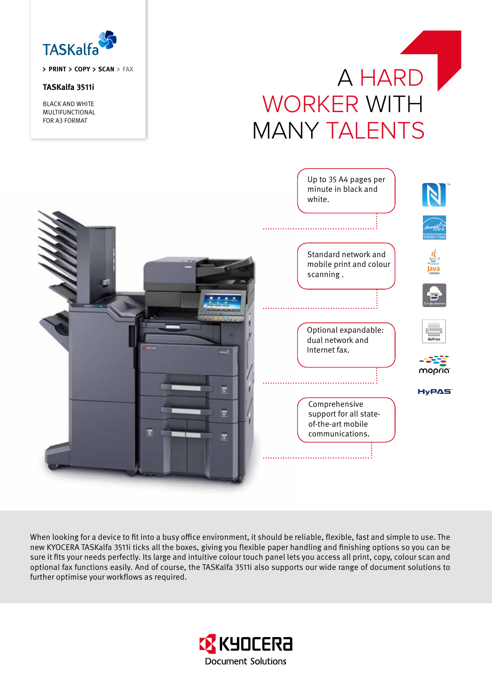

**PRINT COPY SCAN FAX**

# **TASKalfa 3511i**

BLACK AND WHITE MULTIFUNCTIONAL FOR A3 FORMAT

# A HARD WORKER WITH MANY TALENTS



When looking for a device to fit into a busy office environment, it should be reliable, flexible, fast and simple to use. The new KYOCERA TASKalfa 3511i ticks all the boxes, giving you flexible paper handling and finishing options so you can be sure it fits your needs perfectly. Its large and intuitive colour touch panel lets you access all print, copy, colour scan and optional fax functions easily. And of course, the TASKalfa 3511i also supports our wide range of document solutions to further optimise your workflows as required.